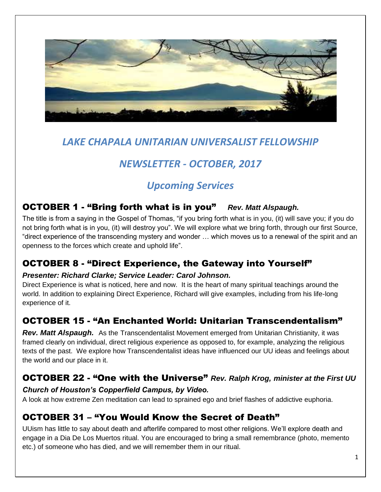

# *LAKE CHAPALA UNITARIAN UNIVERSALIST FELLOWSHIP*

# *NEWSLETTER - OCTOBER, 2017*

# *Upcoming Services*

## OCTOBER 1 - "Bring forth what is in you" *Rev. Matt Alspaugh.*

The title is from a saying in the Gospel of Thomas, "if you bring forth what is in you, (it) will save you; if you do not bring forth what is in you, (it) will destroy you". We will explore what we bring forth, through our first Source, "direct experience of the transcending mystery and wonder … which moves us to a renewal of the spirit and an openness to the forces which create and uphold life".

## OCTOBER 8 - "Direct Experience, the Gateway into Yourself"

### *Presenter: Richard Clarke; Service Leader: Carol Johnson.*

Direct Experience is what is noticed, here and now. It is the heart of many spiritual teachings around the world. In addition to explaining Direct Experience, Richard will give examples, including from his life-long experience of it.

## OCTOBER 15 - "An Enchanted World: Unitarian Transcendentalism"

*Rev. Matt Alspaugh.* As the Transcendentalist Movement emerged from Unitarian Christianity, it was framed clearly on individual, direct religious experience as opposed to, for example, analyzing the religious texts of the past. We explore how Transcendentalist ideas have influenced our UU ideas and feelings about the world and our place in it.

### OCTOBER 22 - "One with the Universe" *Rev. Ralph Krog, minister at the First UU*

### *Church of Houston's Copperfield Campus, by Video.*

A look at how extreme Zen meditation can lead to sprained ego and brief flashes of addictive euphoria.

## OCTOBER 31 – "You Would Know the Secret of Death"

UUism has little to say about death and afterlife compared to most other religions. We'll explore death and engage in a Dia De Los Muertos ritual. You are encouraged to bring a small remembrance (photo, memento etc.) of someone who has died, and we will remember them in our ritual.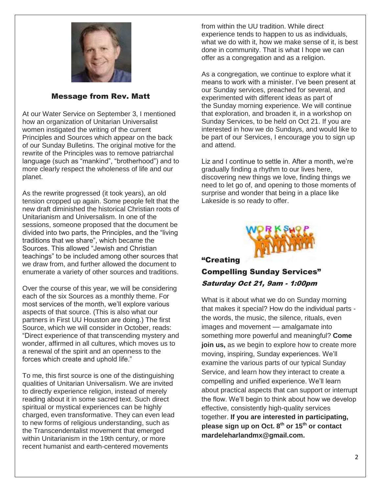

#### Message from Rev. Matt

At our Water Service on September 3, I mentioned how an organization of Unitarian Universalist women instigated the writing of the current Principles and Sources which appear on the back of our Sunday Bulletins. The original motive for the rewrite of the Principles was to remove patriarchal language (such as "mankind", "brotherhood") and to more clearly respect the wholeness of life and our planet.

As the rewrite progressed (it took years), an old tension cropped up again. Some people felt that the new draft diminished the historical Christian roots of Unitarianism and Universalism. In one of the sessions, someone proposed that the document be divided into two parts, the Principles, and the "living traditions that we share", which became the Sources. This allowed "Jewish and Christian teachings" to be included among other sources that we draw from, and further allowed the document to enumerate a variety of other sources and traditions.

Over the course of this year, we will be considering each of the six Sources as a monthly theme. For most services of the month, we'll explore various aspects of that source. (This is also what our partners in First UU Houston are doing.) The first Source, which we will consider in October, reads: "Direct experience of that transcending mystery and wonder, affirmed in all cultures, which moves us to a renewal of the spirit and an openness to the forces which create and uphold life."

To me, this first source is one of the distinguishing qualities of Unitarian Universalism. We are invited to directly experience religion, instead of merely reading about it in some sacred text. Such direct spiritual or mystical experiences can be highly charged, even transformative. They can even lead to new forms of religious understanding, such as the Transcendentalist movement that emerged within Unitarianism in the 19th century, or more recent humanist and earth-centered movements

from within the UU tradition. While direct experience tends to happen to us as individuals, what we do with it, how we make sense of it, is best done in community. That is what I hope we can offer as a congregation and as a religion.

As a congregation, we continue to explore what it means to work with a minister. I've been present at our Sunday services, preached for several, and experimented with different ideas as part of the Sunday morning experience. We will continue that exploration, and broaden it, in a workshop on Sunday Services, to be held on Oct 21. If you are interested in how we do Sundays, and would like to be part of our Services, I encourage you to sign up and attend.

Liz and I continue to settle in. After a month, we're gradually finding a rhythm to our lives here, discovering new things we love, finding things we need to let go of, and opening to those moments of surprise and wonder that being in a place like Lakeside is so ready to offer.



#### "Creating

### Compelling Sunday Services" Saturday Oct 21, 9am - 1:00pm

What is it about what we do on Sunday morning that makes it special? How do the individual parts the words, the music, the silence, rituals, even images and movement — amalgamate into something more powerful and meaningful? **Come join us,** as we begin to explore how to create more moving, inspiring, Sunday experiences. We'll examine the various parts of our typical Sunday Service, and learn how they interact to create a compelling and unified experience. We'll learn about practical aspects that can support or interrupt the flow. We'll begin to think about how we develop effective, consistently high-quality services together. **If you are interested in participating, please sign up on Oct. 8th or 15th or contact mardeleharlandmx@gmail.com.**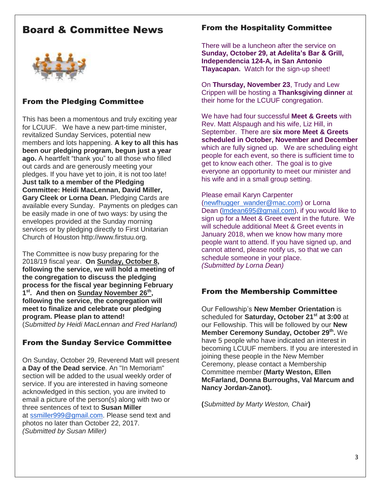## Board & Committee News



### From the Pledging Committee

This has been a momentous and truly exciting year for LCUUF. We have a new part-time minister, revitalized Sunday Services, potential new members and lots happening. **A key to all this has been our pledging program, begun just a year ago.** A heartfelt "thank you" to all those who filled out cards and are generously meeting your pledges. If you have yet to join, it is not too late! **Just talk to a member of the Pledging Committee: Heidi MacLennan, David Miller, Gary Cleek or Lorna Dean.** Pledging Cards are available every Sunday. Payments on pledges can be easily made in one of two ways: by using the envelopes provided at the Sunday morning services or by pledging directly to First Unitarian Church of Houston http://www.firstuu.org.

The Committee is now busy preparing for the 2018/19 fiscal year. **On Sunday, October 8, following the service, we will hold a meeting of the congregation to discuss the pledging process for the fiscal year beginning February**  1<sup>st</sup>. And then on Sunday November 26<sup>th</sup>, **following the service, the congregation will meet to finalize and celebrate our pledging program. Please plan to attend!**  (*Submitted by Heidi MacLennan and Fred Harland)*

### From the Sunday Service Committee

On Sunday, October 29, Reverend Matt will present **a Day of the Dead service**. An "In Memoriam" section will be added to the usual weekly order of service. If you are interested in having someone acknowledged in this section, you are invited to email a picture of the person(s) along with two or three sentences of text to **Susan Miller** at [ssmiller999@gmail.com.](mailto:ssmiller999@gmail.com) Please send text and photos no later than October 22, 2017. *(Submitted by Susan Miller)*

#### From the Hospitality Committee

There will be a luncheon after the service on **Sunday, October 29, at Adelita's Bar & Grill, Independencia 124-A, in San Antonio Tlayacapan.** Watch for the sign-up sheet!

On **Thursday, November 23**, Trudy and Lew Crippen will be hosting a **Thanksgiving dinner** at their home for the LCUUF congregation.

We have had four successful **Meet & Greets** with Rev. Matt Alspaugh and his wife, Liz Hill, in September. There are **six more Meet & Greets scheduled in October, November and December** which are fully signed up. We are scheduling eight people for each event, so there is sufficient time to get to know each other. The goal is to give everyone an opportunity to meet our minister and his wife and in a small group setting.

#### Please email Karyn Carpenter

[\(newfhugger\\_wander@mac.com\)](mailto:newfhugger_wander@mac.com) or Lorna Dean [\(lmdean695@gmail.com\)](mailto:lmdean695@gmail.com), if you would like to sign up for a Meet & Greet event in the future. We will schedule additional Meet & Greet events in January 2018, when we know how many more people want to attend. If you have signed up, and cannot attend, please notify us, so that we can schedule someone in your place. *(Submitted by Lorna Dean)*

#### From the Membership Committee

Our Fellowship's **New Member Orientation** is scheduled for **Saturday, October 21st at 3:00** at our Fellowship. This will be followed by our **New Member Ceremony Sunday, October 29th .** We have 5 people who have indicated an interest in becoming LCUUF members. If you are interested in joining these people in the New Member Ceremony, please contact a Membership Committee member **(Marty Weston, Ellen McFarland, Donna Burroughs, Val Marcum and Nancy Jordan-Zanot).**

**(***Submitted by Marty Weston, Chair***)**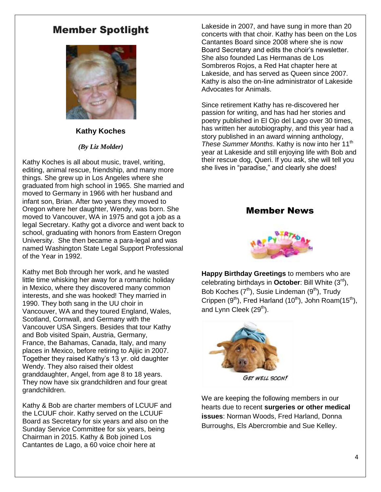## Member Spotlight



#### **Kathy Koches**

#### *(By Liz Molder)*

Kathy Koches is all about music, travel, writing, editing, animal rescue, friendship, and many more things. She grew up in Los Angeles where she graduated from high school in 1965. She married and moved to Germany in 1966 with her husband and infant son, Brian. After two years they moved to Oregon where her daughter, Wendy, was born. She moved to Vancouver, WA in 1975 and got a job as a legal Secretary. Kathy got a divorce and went back to school, graduating with honors from Eastern Oregon University. She then became a para-legal and was named Washington State Legal Support Professional of the Year in 1992.

Kathy met Bob through her work, and he wasted little time whisking her away for a romantic holiday in Mexico, where they discovered many common interests, and she was hooked! They married in 1990. They both sang in the UU choir in Vancouver, WA and they toured England, Wales, Scotland, Cornwall, and Germany with the Vancouver USA Singers. Besides that tour Kathy and Bob visited Spain, Austria, Germany, France, the Bahamas, Canada, Italy, and many places in Mexico, before retiring to Ajijic in 2007. Together they raised Kathy's 13 yr. old daughter Wendy. They also raised their oldest granddaughter, Angel, from age 8 to 18 years. They now have six grandchildren and four great grandchildren.

Kathy & Bob are charter members of LCUUF and the LCUUF choir. Kathy served on the LCUUF Board as Secretary for six years and also on the Sunday Service Committee for six years, being Chairman in 2015. Kathy & Bob joined Los Cantantes de Lago, a 60 voice choir here at

Lakeside in 2007, and have sung in more than 20 concerts with that choir. Kathy has been on the Los Cantantes Board since 2008 where she is now Board Secretary and edits the choir's newsletter. She also founded Las Hermanas de Los Sombreros Rojos, a Red Hat chapter here at Lakeside, and has served as Queen since 2007. Kathy is also the on-line administrator of Lakeside Advocates for Animals.

Since retirement Kathy has re-discovered her passion for writing, and has had her stories and poetry published in El Ojo del Lago over 30 times, has written her autobiography, and this year had a story published in an award winning anthology, *These Summer Months*. Kathy is now into her 11<sup>th</sup> year at Lakeside and still enjoying life with Bob and their rescue dog, Queri. If you ask, she will tell you she lives in "paradise," and clearly she does!

#### Member News



**Happy Birthday Greetings** to members who are celebrating birthdays in **October**: Bill White (3rd), Bob Koches  $(7<sup>th</sup>)$ , Susie Lindeman  $(9<sup>th</sup>)$ , Trudy Crippen  $(9<sup>th</sup>)$ , Fred Harland  $(10<sup>th</sup>)$ , John Roam $(15<sup>th</sup>)$ , and Lynn Cleek  $(29<sup>th</sup>)$ .



We are keeping the following members in our hearts due to recent **surgeries or other medical issues**: Norman Woods, Fred Harland, Donna Burroughs, Els Abercrombie and Sue Kelley.